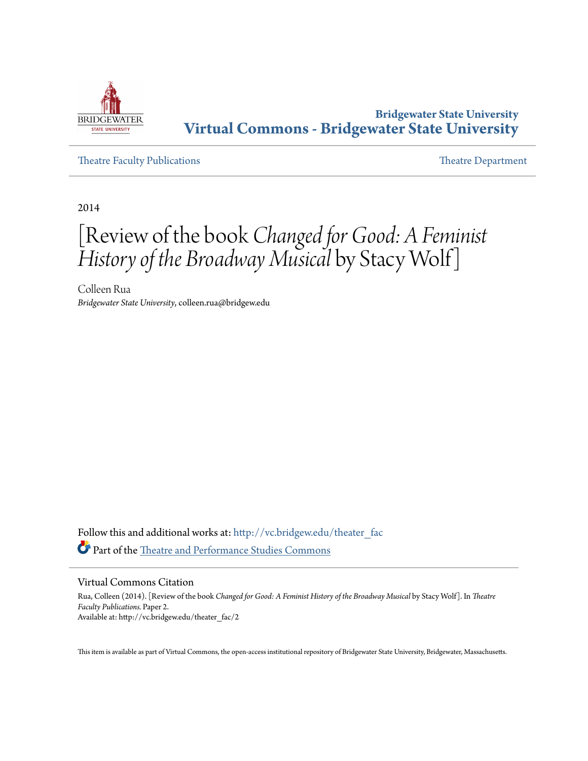

## **Bridgewater State University [Virtual Commons - Bridgewater State University](http://vc.bridgew.edu?utm_source=vc.bridgew.edu%2Ftheater_fac%2F2&utm_medium=PDF&utm_campaign=PDFCoverPages)**

[Theatre Faculty Publications](http://vc.bridgew.edu/theater_fac?utm_source=vc.bridgew.edu%2Ftheater_fac%2F2&utm_medium=PDF&utm_campaign=PDFCoverPages) [Theatre Department](http://vc.bridgew.edu/theater?utm_source=vc.bridgew.edu%2Ftheater_fac%2F2&utm_medium=PDF&utm_campaign=PDFCoverPages)

2014

## [Review of the book *Changed for Good: A Feminist History of the Broadway Musical* by Stacy Wolf]

Colleen Rua *Bridgewater State University*, colleen.rua@bridgew.edu

Follow this and additional works at: [http://vc.bridgew.edu/theater\\_fac](http://vc.bridgew.edu/theater_fac?utm_source=vc.bridgew.edu%2Ftheater_fac%2F2&utm_medium=PDF&utm_campaign=PDFCoverPages) Part of the [Theatre and Performance Studies Commons](http://network.bepress.com/hgg/discipline/552?utm_source=vc.bridgew.edu%2Ftheater_fac%2F2&utm_medium=PDF&utm_campaign=PDFCoverPages)

## Virtual Commons Citation

Rua, Colleen (2014). [Review of the book *Changed for Good: A Feminist History of the Broadway Musical* by Stacy Wolf]. In *Theatre Faculty Publications.* Paper 2. Available at: http://vc.bridgew.edu/theater\_fac/2

This item is available as part of Virtual Commons, the open-access institutional repository of Bridgewater State University, Bridgewater, Massachusetts.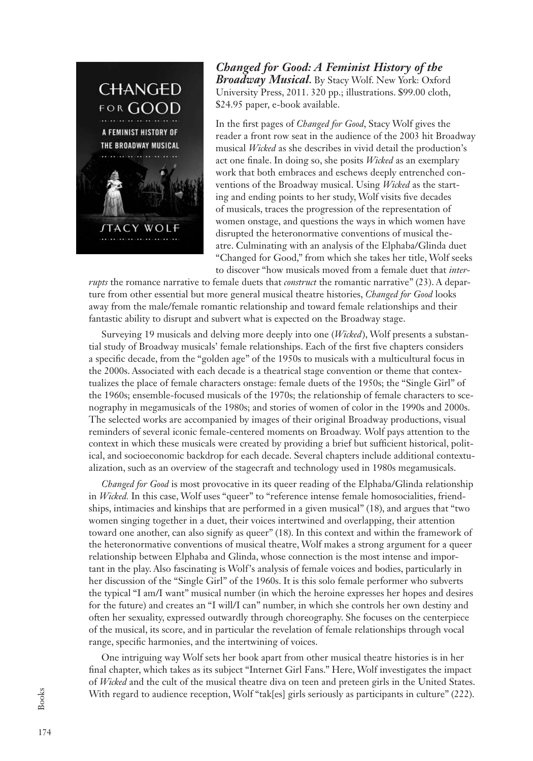

*Changed for Good: A Feminist History of the Broadway Musical***.** By Stacy Wolf. New York: Oxford University Press, 2011. 320 pp.; illustrations. \$99.00 cloth, \$24.95 paper, e-book available.

In the first pages of *Changed for Good*, Stacy Wolf gives the reader a front row seat in the audience of the 2003 hit Broadway musical *Wicked* as she describes in vivid detail the production's act one finale. In doing so, she posits *Wicked* as an exemplary work that both embraces and eschews deeply entrenched conventions of the Broadway musical. Using *Wicked* as the starting and ending points to her study, Wolf visits five decades of musicals, traces the progression of the representation of women onstage, and questions the ways in which women have disrupted the heteronormative conventions of musical theatre. Culminating with an analysis of the Elphaba/Glinda duet "Changed for Good," from which she takes her title, Wolf seeks to discover "how musicals moved from a female duet that *inter-*

*rupts* the romance narrative to female duets that *construct* the romantic narrative" (23). A departure from other essential but more general musical theatre histories, *Changed for Good* looks away from the male/female romantic relationship and toward female relationships and their fantastic ability to disrupt and subvert what is expected on the Broadway stage.

Surveying 19 musicals and delving more deeply into one (*Wicked*), Wolf presents a substantial study of Broadway musicals' female relationships. Each of the first five chapters considers a specific decade, from the "golden age" of the 1950s to musicals with a multicultural focus in the 2000s. Associated with each decade is a theatrical stage convention or theme that contextualizes the place of female characters onstage: female duets of the 1950s; the "Single Girl" of the 1960s; ensemble-focused musicals of the 1970s; the relationship of female characters to scenography in megamusicals of the 1980s; and stories of women of color in the 1990s and 2000s. The selected works are accompanied by images of their original Broadway productions, visual reminders of several iconic female-centered moments on Broadway. Wolf pays attention to the context in which these musicals were created by providing a brief but sufficient historical, political, and socioeconomic backdrop for each decade. Several chapters include additional contextualization, such as an overview of the stagecraft and technology used in 1980s megamusicals.

*Changed for Good* is most provocative in its queer reading of the Elphaba/Glinda relationship in *Wicked.* In this case, Wolf uses "queer" to "reference intense female homosocialities, friendships, intimacies and kinships that are performed in a given musical" (18), and argues that "two women singing together in a duet, their voices intertwined and overlapping, their attention toward one another, can also signify as queer" (18). In this context and within the framework of the heteronormative conventions of musical theatre, Wolf makes a strong argument for a queer relationship between Elphaba and Glinda, whose connection is the most intense and important in the play. Also fascinating is Wolf's analysis of female voices and bodies, particularly in her discussion of the "Single Girl" of the 1960s. It is this solo female performer who subverts the typical "I am/I want" musical number (in which the heroine expresses her hopes and desires for the future) and creates an "I will/I can" number, in which she controls her own destiny and often her sexuality, expressed outwardly through choreography. She focuses on the centerpiece of the musical, its score, and in particular the revelation of female relationships through vocal range, specific harmonies, and the intertwining of voices.

One intriguing way Wolf sets her book apart from other musical theatre histories is in her final chapter, which takes as its subject "Internet Girl Fans." Here, Wolf investigates the impact of *Wicked* and the cult of the musical theatre diva on teen and preteen girls in the United States. With regard to audience reception, Wolf "tak[es] girls seriously as participants in culture" (222).